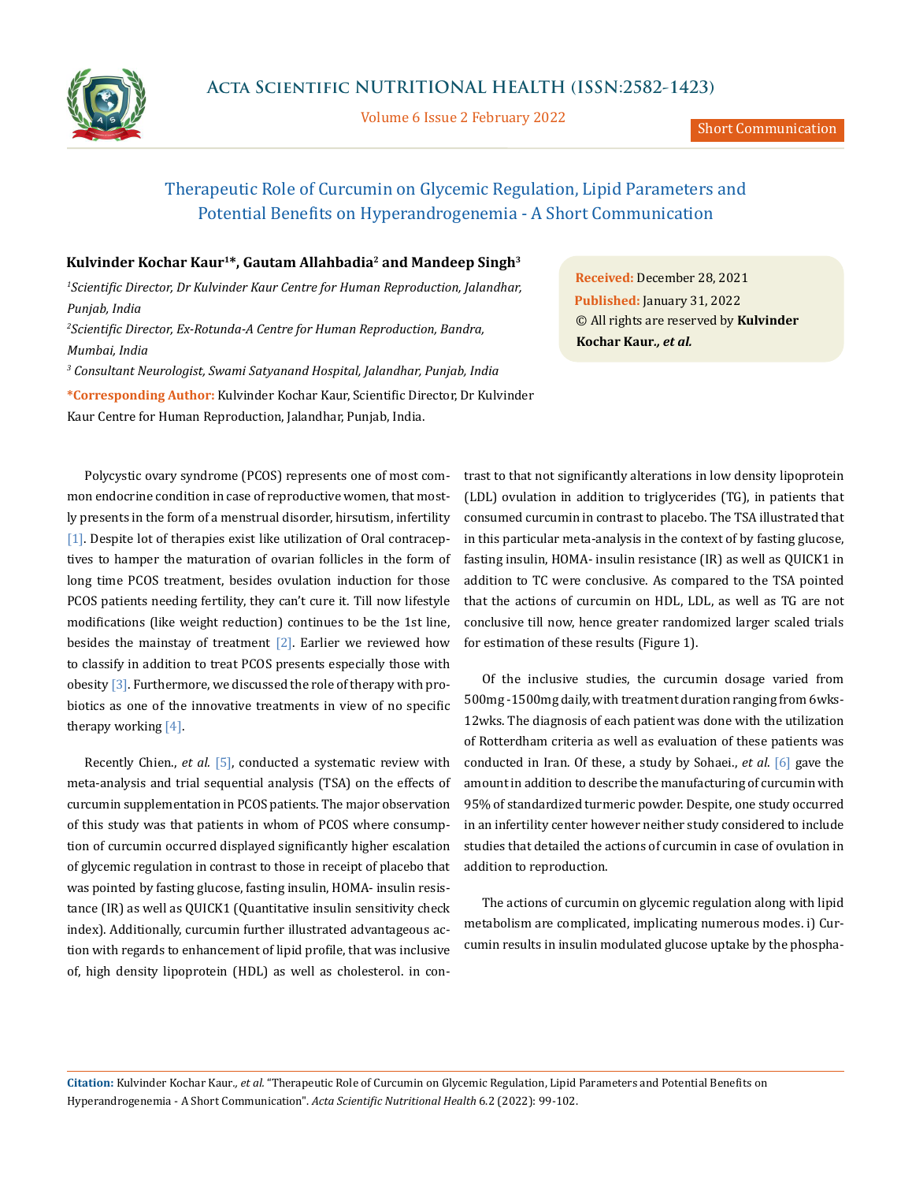

Volume 6 Issue 2 February 2022

# Therapeutic Role of Curcumin on Glycemic Regulation, Lipid Parameters and Potential Benefits on Hyperandrogenemia - A Short Communication

## **Kulvinder Kochar Kaur1\*, Gautam Allahbadia2 and Mandeep Singh3**

<sup>1</sup> Scientific Director, Dr Kulvinder Kaur Centre for Human Reproduction, Jalandhar, *Punjab, India 2 Scientific Director, Ex-Rotunda-A Centre for Human Reproduction, Bandra, Mumbai, India 3 Consultant Neurologist, Swami Satyanand Hospital, Jalandhar, Punjab, India* **\*Corresponding Author:** Kulvinder Kochar Kaur, Scientific Director, Dr Kulvinder Kaur Centre for Human Reproduction, Jalandhar, Punjab, India.

Polycystic ovary syndrome (PCOS) represents one of most common endocrine condition in case of reproductive women, that mostly presents in the form of a menstrual disorder, hirsutism, infertility [1]. Despite lot of therapies exist like utilization of Oral contraceptives to hamper the maturation of ovarian follicles in the form of long time PCOS treatment, besides ovulation induction for those PCOS patients needing fertility, they can't cure it. Till now lifestyle modifications (like weight reduction) continues to be the 1st line, besides the mainstay of treatment  $[2]$ . Earlier we reviewed how to classify in addition to treat PCOS presents especially those with obesity [3]. Furthermore, we discussed the role of therapy with probiotics as one of the innovative treatments in view of no specific therapy working [4].

Recently Chien., *et al.* [5], conducted a systematic review with meta-analysis and trial sequential analysis (TSA) on the effects of curcumin supplementation in PCOS patients. The major observation of this study was that patients in whom of PCOS where consumption of curcumin occurred displayed significantly higher escalation of glycemic regulation in contrast to those in receipt of placebo that was pointed by fasting glucose, fasting insulin, HOMA- insulin resistance (IR) as well as QUICK1 (Quantitative insulin sensitivity check index). Additionally, curcumin further illustrated advantageous action with regards to enhancement of lipid profile, that was inclusive of, high density lipoprotein (HDL) as well as cholesterol. in con-

**Received:** December 28, 2021 **Published:** January 31, 2022 © All rights are reserved by **Kulvinder Kochar Kaur***., et al.*

trast to that not significantly alterations in low density lipoprotein (LDL) ovulation in addition to triglycerides (TG), in patients that consumed curcumin in contrast to placebo. The TSA illustrated that in this particular meta-analysis in the context of by fasting glucose, fasting insulin, HOMA- insulin resistance (IR) as well as QUICK1 in addition to TC were conclusive. As compared to the TSA pointed that the actions of curcumin on HDL, LDL, as well as TG are not conclusive till now, hence greater randomized larger scaled trials for estimation of these results (Figure 1).

Of the inclusive studies, the curcumin dosage varied from 500mg -1500mg daily, with treatment duration ranging from 6wks-12wks. The diagnosis of each patient was done with the utilization of Rotterdham criteria as well as evaluation of these patients was conducted in Iran. Of these, a study by Sohaei., *et al*. [6] gave the amount in addition to describe the manufacturing of curcumin with 95% of standardized turmeric powder. Despite, one study occurred in an infertility center however neither study considered to include studies that detailed the actions of curcumin in case of ovulation in addition to reproduction.

The actions of curcumin on glycemic regulation along with lipid metabolism are complicated, implicating numerous modes. i) Curcumin results in insulin modulated glucose uptake by the phospha-

**Citation:** Kulvinder Kochar Kaur*., et al.* "Therapeutic Role of Curcumin on Glycemic Regulation, Lipid Parameters and Potential Benefits on Hyperandrogenemia - A Short Communication". *Acta Scientific Nutritional Health* 6.2 (2022): 99-102.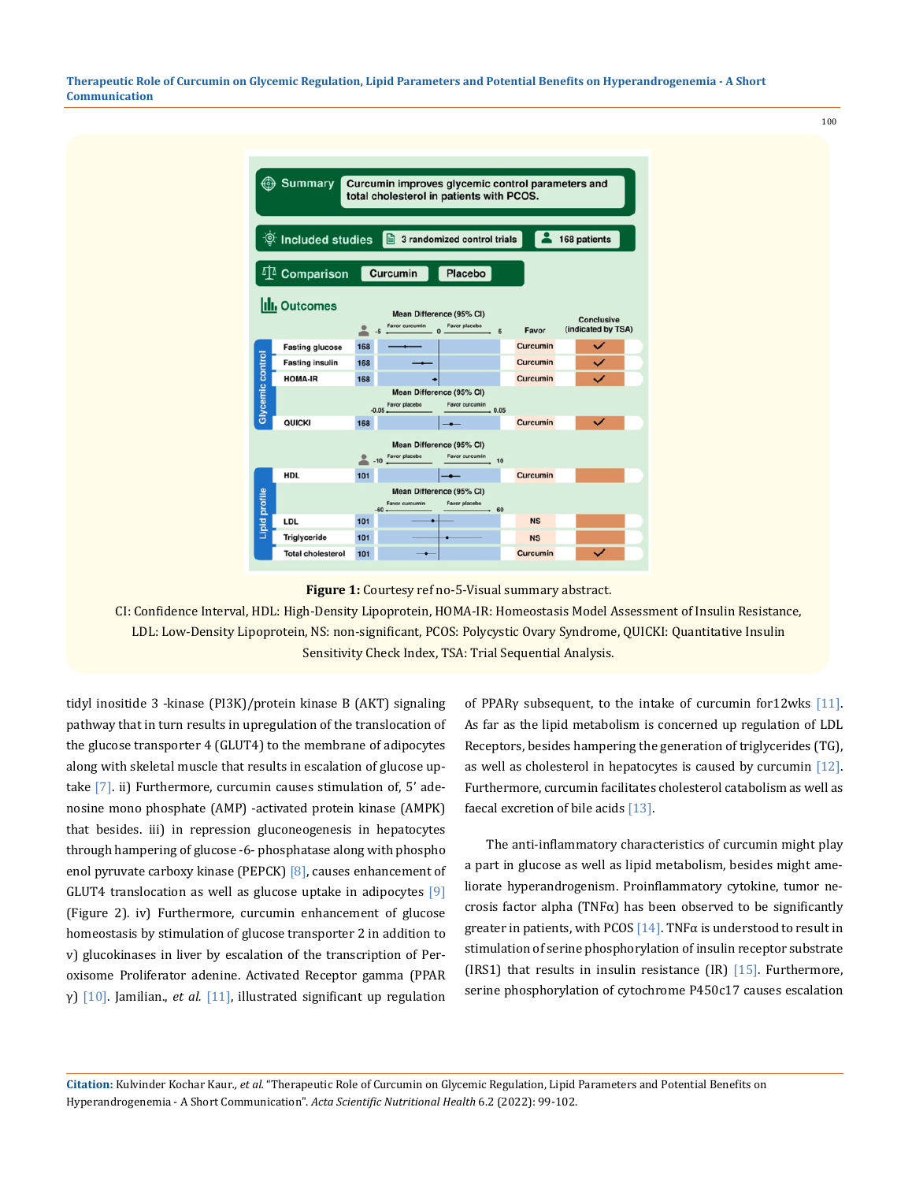**Therapeutic Role of Curcumin on Glycemic Regulation, Lipid Parameters and Potential Benefits on Hyperandrogenemia - A Short Communication**



**Figure 1:** Courtesy ref no-5-Visual summary abstract.

CI: Confidence Interval, HDL: High-Density Lipoprotein, HOMA-IR: Homeostasis Model Assessment of Insulin Resistance, LDL: Low-Density Lipoprotein, NS: non-significant, PCOS: Polycystic Ovary Syndrome, QUICKI: Quantitative Insulin Sensitivity Check Index, TSA: Trial Sequential Analysis.

tidyl inositide 3 -kinase (PI3K)/protein kinase B (AKT) signaling pathway that in turn results in upregulation of the translocation of the glucose transporter 4 (GLUT4) to the membrane of adipocytes along with skeletal muscle that results in escalation of glucose uptake [7]. ii) Furthermore, curcumin causes stimulation of, 5' adenosine mono phosphate (AMP) -activated protein kinase (AMPK) that besides. iii) in repression gluconeogenesis in hepatocytes through hampering of glucose -6- phosphatase along with phospho enol pyruvate carboxy kinase (PEPCK) [8], causes enhancement of GLUT4 translocation as well as glucose uptake in adipocytes  $[9]$ (Figure 2). iv) Furthermore, curcumin enhancement of glucose homeostasis by stimulation of glucose transporter 2 in addition to v) glucokinases in liver by escalation of the transcription of Peroxisome Proliferator adenine. Activated Receptor gamma (PPAR γ) [10]. Jamilian., *et al.* [11], illustrated significant up regulation

of PPARγ subsequent, to the intake of curcumin for12wks [11]. As far as the lipid metabolism is concerned up regulation of LDL Receptors, besides hampering the generation of triglycerides (TG), as well as cholesterol in hepatocytes is caused by curcumin [12]. Furthermore, curcumin facilitates cholesterol catabolism as well as faecal excretion of bile acids [13].

100

 The anti-inflammatory characteristics of curcumin might play a part in glucose as well as lipid metabolism, besides might ameliorate hyperandrogenism. Proinflammatory cytokine, tumor necrosis factor alpha (TNF $\alpha$ ) has been observed to be significantly greater in patients, with PCOS [14]. TNF $\alpha$  is understood to result in stimulation of serine phosphorylation of insulin receptor substrate (IRS1) that results in insulin resistance  $(IR)$  [15]. Furthermore, serine phosphorylation of cytochrome P450c17 causes escalation

**Citation:** Kulvinder Kochar Kaur*., et al.* "Therapeutic Role of Curcumin on Glycemic Regulation, Lipid Parameters and Potential Benefits on Hyperandrogenemia - A Short Communication". *Acta Scientific Nutritional Health* 6.2 (2022): 99-102.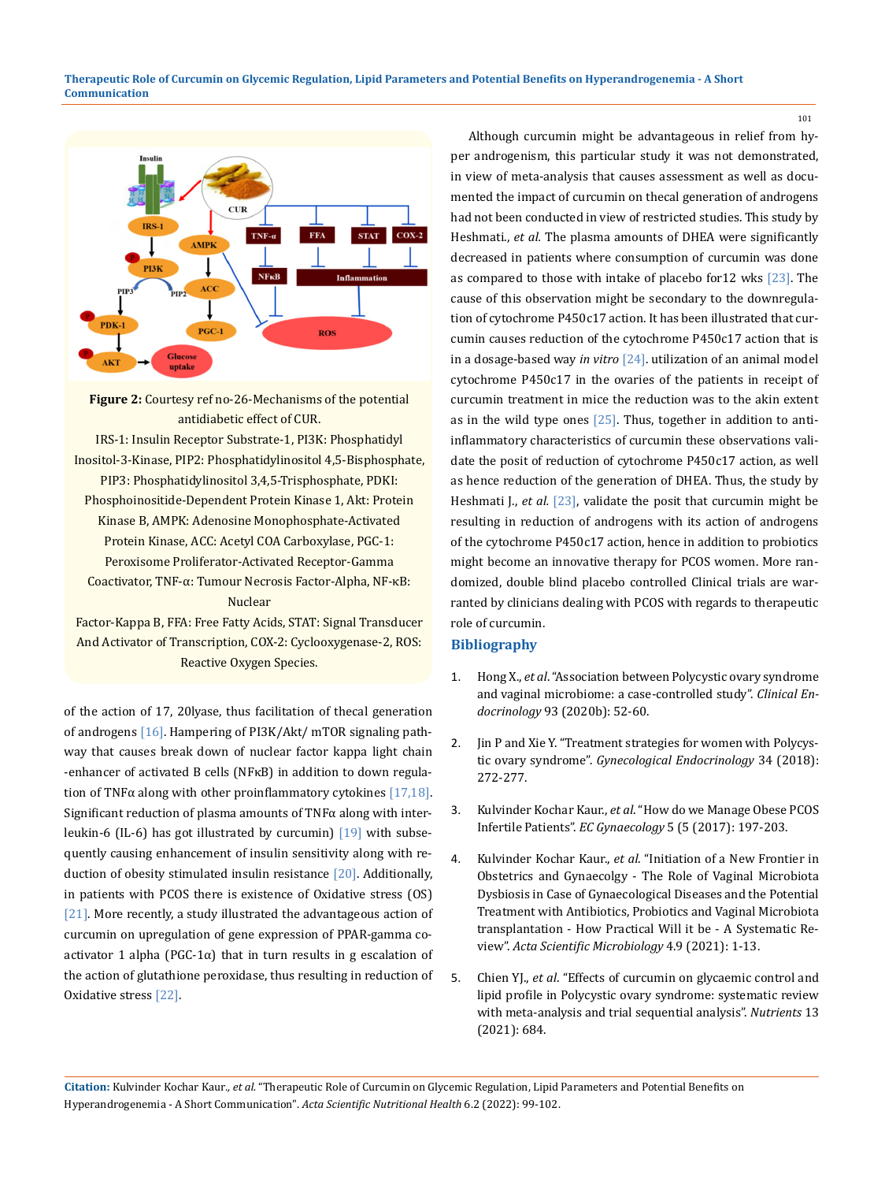

**Figure 2:** Courtesy ref no-26-Mechanisms of the potential antidiabetic effect of CUR. IRS-1: Insulin Receptor Substrate-1, PI3K: Phosphatidyl Inositol-3-Kinase, PIP2: Phosphatidylinositol 4,5-Bisphosphate, PIP3: Phosphatidylinositol 3,4,5-Trisphosphate, PDKI: Phosphoinositide-Dependent Protein Kinase 1, Akt: Protein Kinase B, AMPK: Adenosine Monophosphate-Activated Protein Kinase, ACC: Acetyl COA Carboxylase, PGC-1: Peroxisome Proliferator-Activated Receptor-Gamma Coactivator, TNF-α: Tumour Necrosis Factor-Alpha, NF-κB: Nuclear Factor-Kappa B, FFA: Free Fatty Acids, STAT: Signal Transducer

And Activator of Transcription, COX-2: Cyclooxygenase-2, ROS: Reactive Oxygen Species.

of the action of 17, 20lyase, thus facilitation of thecal generation of androgens [16]. Hampering of PI3K/Akt/ mTOR signaling pathway that causes break down of nuclear factor kappa light chain -enhancer of activated B cells (NFκB) in addition to down regulation of TNF $\alpha$  along with other proinflammatory cytokines [17,18]. Significant reduction of plasma amounts of TNFα along with interleukin-6 (IL-6) has got illustrated by curcumin) [19] with subsequently causing enhancement of insulin sensitivity along with reduction of obesity stimulated insulin resistance [20]. Additionally, in patients with PCOS there is existence of Oxidative stress (OS) [21]. More recently, a study illustrated the advantageous action of curcumin on upregulation of gene expression of PPAR-gamma coactivator 1 alpha (PGC-1 $\alpha$ ) that in turn results in g escalation of the action of glutathione peroxidase, thus resulting in reduction of Oxidative stress [22].

Although curcumin might be advantageous in relief from hyper androgenism, this particular study it was not demonstrated, in view of meta-analysis that causes assessment as well as documented the impact of curcumin on thecal generation of androgens had not been conducted in view of restricted studies. This study by Heshmati., *et al.* The plasma amounts of DHEA were significantly decreased in patients where consumption of curcumin was done as compared to those with intake of placebo for12 wks [23]. The cause of this observation might be secondary to the downregulation of cytochrome P450c17 action. It has been illustrated that curcumin causes reduction of the cytochrome P450c17 action that is in a dosage-based way *in vitro* [24]. utilization of an animal model cytochrome P450c17 in the ovaries of the patients in receipt of curcumin treatment in mice the reduction was to the akin extent as in the wild type ones [25]. Thus, together in addition to antiinflammatory characteristics of curcumin these observations validate the posit of reduction of cytochrome P450c17 action, as well as hence reduction of the generation of DHEA. Thus, the study by Heshmati J., *et al.* [23], validate the posit that curcumin might be resulting in reduction of androgens with its action of androgens of the cytochrome P450c17 action, hence in addition to probiotics might become an innovative therapy for PCOS women. More randomized, double blind placebo controlled Clinical trials are warranted by clinicians dealing with PCOS with regards to therapeutic role of curcumin.

# **Bibliography**

- 1. Hong X., *et al*[. "Association between Polycystic ovary syndrome](https://pubmed.ncbi.nlm.nih.gov/32311120/) [and vaginal microbiome: a case-controlled study".](https://pubmed.ncbi.nlm.nih.gov/32311120/) *Clinical Endocrinology* [93 \(2020b\): 52-60.](https://pubmed.ncbi.nlm.nih.gov/32311120/)
- 2. [Jin P and Xie Y. "Treatment strategies for women with Polycys](https://pubmed.ncbi.nlm.nih.gov/29084464/)tic ovary syndrome". *[Gynecological Endocrinology](https://pubmed.ncbi.nlm.nih.gov/29084464/)* 34 (2018): [272-277.](https://pubmed.ncbi.nlm.nih.gov/29084464/)
- 3. Kulvinder Kochar Kaur., *et al*. "How do we Manage Obese PCOS Infertile Patients". *EC Gynaecology* 5 (5 (2017): 197-203.
- 4. Kulvinder Kochar Kaur., *et al*[. "Initiation of a New Frontier in](https://www.researchgate.net/publication/354035137_-The_Role_of_Vaginal_Microbiota_Dysbiosis_in_Case_of_Gynaecological_Diseases_and_the_Potential_Treatment_with_Antibiotics_Probiotics_and_Vaginal_Microbiota_transplantation_-How_Practical_Will_it_be_-A) [Obstetrics and Gynaecolgy - The Role of Vaginal Microbiota](https://www.researchgate.net/publication/354035137_-The_Role_of_Vaginal_Microbiota_Dysbiosis_in_Case_of_Gynaecological_Diseases_and_the_Potential_Treatment_with_Antibiotics_Probiotics_and_Vaginal_Microbiota_transplantation_-How_Practical_Will_it_be_-A)  [Dysbiosis in Case of Gynaecological Diseases and the Potential](https://www.researchgate.net/publication/354035137_-The_Role_of_Vaginal_Microbiota_Dysbiosis_in_Case_of_Gynaecological_Diseases_and_the_Potential_Treatment_with_Antibiotics_Probiotics_and_Vaginal_Microbiota_transplantation_-How_Practical_Will_it_be_-A)  [Treatment with Antibiotics, Probiotics and Vaginal Microbiota](https://www.researchgate.net/publication/354035137_-The_Role_of_Vaginal_Microbiota_Dysbiosis_in_Case_of_Gynaecological_Diseases_and_the_Potential_Treatment_with_Antibiotics_Probiotics_and_Vaginal_Microbiota_transplantation_-How_Practical_Will_it_be_-A)  [transplantation - How Practical Will it be - A Systematic Re](https://www.researchgate.net/publication/354035137_-The_Role_of_Vaginal_Microbiota_Dysbiosis_in_Case_of_Gynaecological_Diseases_and_the_Potential_Treatment_with_Antibiotics_Probiotics_and_Vaginal_Microbiota_transplantation_-How_Practical_Will_it_be_-A)view". *[Acta Scientific Microbiology](https://www.researchgate.net/publication/354035137_-The_Role_of_Vaginal_Microbiota_Dysbiosis_in_Case_of_Gynaecological_Diseases_and_the_Potential_Treatment_with_Antibiotics_Probiotics_and_Vaginal_Microbiota_transplantation_-How_Practical_Will_it_be_-A)* 4.9 (2021): 1-13.
- 5. Chien YJ., *et al*[. "Effects of curcumin on glycaemic control and](https://www.ncbi.nlm.nih.gov/pmc/articles/PMC7924860/) [lipid profile in Polycystic ovary syndrome: systematic review](https://www.ncbi.nlm.nih.gov/pmc/articles/PMC7924860/) [with meta-analysis and trial sequential analysis".](https://www.ncbi.nlm.nih.gov/pmc/articles/PMC7924860/) *Nutrients* 13 [\(2021\): 684.](https://www.ncbi.nlm.nih.gov/pmc/articles/PMC7924860/)

**Citation:** Kulvinder Kochar Kaur*., et al.* "Therapeutic Role of Curcumin on Glycemic Regulation, Lipid Parameters and Potential Benefits on Hyperandrogenemia - A Short Communication". *Acta Scientific Nutritional Health* 6.2 (2022): 99-102.

101